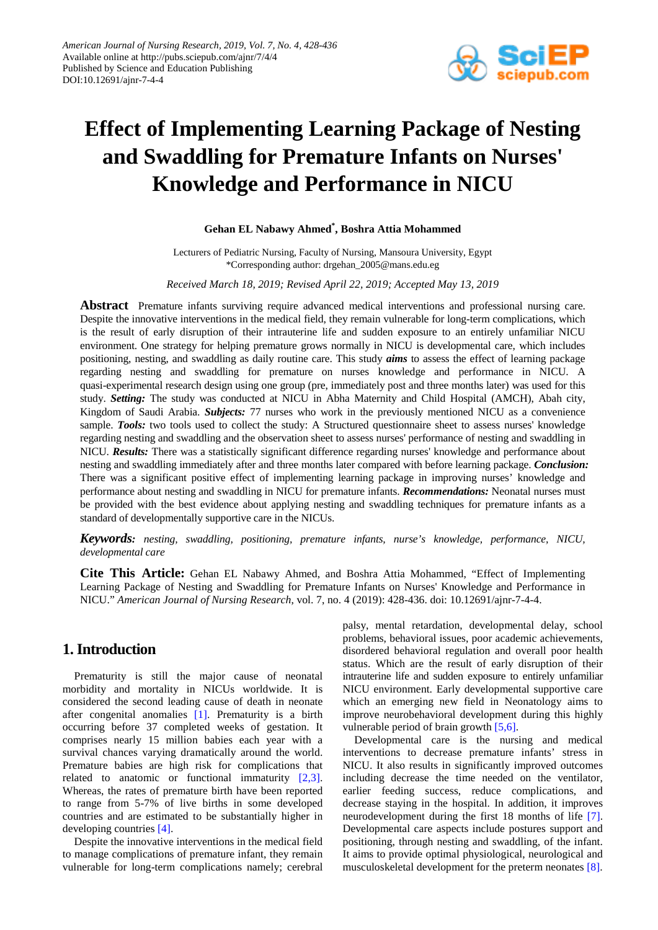

# **Effect of Implementing Learning Package of Nesting and Swaddling for Premature Infants on Nurses' Knowledge and Performance in NICU**

#### **Gehan EL Nabawy Ahmed\* , Boshra Attia Mohammed**

Lecturers of Pediatric Nursing, Faculty of Nursing, Mansoura University, Egypt \*Corresponding author: drgehan\_2005@mans.edu.eg

#### *Received March 18, 2019; Revised April 22, 2019; Accepted May 13, 2019*

**Abstract** Premature infants surviving require advanced medical interventions and professional nursing care. Despite the innovative interventions in the medical field, they remain vulnerable for long-term complications, which is the result of early disruption of their intrauterine life and sudden exposure to an entirely unfamiliar NICU environment. One strategy for helping premature grows normally in NICU is developmental care, which includes positioning, nesting, and swaddling as daily routine care. This study *aims* to assess the effect of learning package regarding nesting and swaddling for premature on nurses knowledge and performance in NICU. A quasi-experimental research design using one group (pre, immediately post and three months later) was used for this study. *Setting:* The study was conducted at NICU in Abha Maternity and Child Hospital (AMCH), Abah city, Kingdom of Saudi Arabia. *Subjects:* 77 nurses who work in the previously mentioned NICU as a convenience sample. Tools: two tools used to collect the study: A Structured questionnaire sheet to assess nurses' knowledge regarding nesting and swaddling and the observation sheet to assess nurses' performance of nesting and swaddling in NICU. *Results:* There was a statistically significant difference regarding nurses' knowledge and performance about nesting and swaddling immediately after and three months later compared with before learning package. *Conclusion:* There was a significant positive effect of implementing learning package in improving nurses' knowledge and performance about nesting and swaddling in NICU for premature infants. *Recommendations:* Neonatal nurses must be provided with the best evidence about applying nesting and swaddling techniques for premature infants as a standard of developmentally supportive care in the NICUs.

*Keywords: nesting, swaddling, positioning, premature infants, nurse's knowledge, performance, NICU, developmental care*

**Cite This Article:** Gehan EL Nabawy Ahmed, and Boshra Attia Mohammed, "Effect of Implementing Learning Package of Nesting and Swaddling for Premature Infants on Nurses' Knowledge and Performance in NICU." *American Journal of Nursing Research*, vol. 7, no. 4 (2019): 428-436. doi: 10.12691/ajnr-7-4-4.

## **1. Introduction**

Prematurity is still the major cause of neonatal morbidity and mortality in NICUs worldwide. It is considered the second leading cause of death in neonate after congenital anomalies [\[1\].](#page-7-0) Prematurity is a birth occurring before 37 completed weeks of gestation. It comprises nearly 15 million babies each year with a survival chances varying dramatically around the world. Premature babies are high risk for complications that related to anatomic or functional immaturity [\[2,3\].](#page-7-1) Whereas, the rates of premature birth have been reported to range from 5-7% of live births in some developed countries and are estimated to be substantially higher in developing countries [\[4\].](#page-7-2)

Despite the innovative interventions in the medical field to manage complications of premature infant, they remain vulnerable for long-term complications namely; cerebral palsy, mental retardation, developmental delay, school problems, behavioral issues, poor academic achievements, disordered behavioral regulation and overall poor health status. Which are the result of early disruption of their intrauterine life and sudden exposure to entirely unfamiliar NICU environment. Early developmental supportive care which an emerging new field in Neonatology aims to improve neurobehavioral development during this highly vulnerable period of brain growt[h \[5,6\].](#page-7-3)

Developmental care is the nursing and medical interventions to decrease premature infants' stress in NICU. It also results in significantly improved outcomes including decrease the time needed on the ventilator, earlier feeding success, reduce complications, and decrease staying in the hospital. In addition, it improves neurodevelopment during the first 18 months of life [\[7\].](#page-7-4) Developmental care aspects include postures support and positioning, through nesting and swaddling, of the infant. It aims to provide optimal physiological, neurological and musculoskeletal development for the preterm neonates [\[8\].](#page-7-5)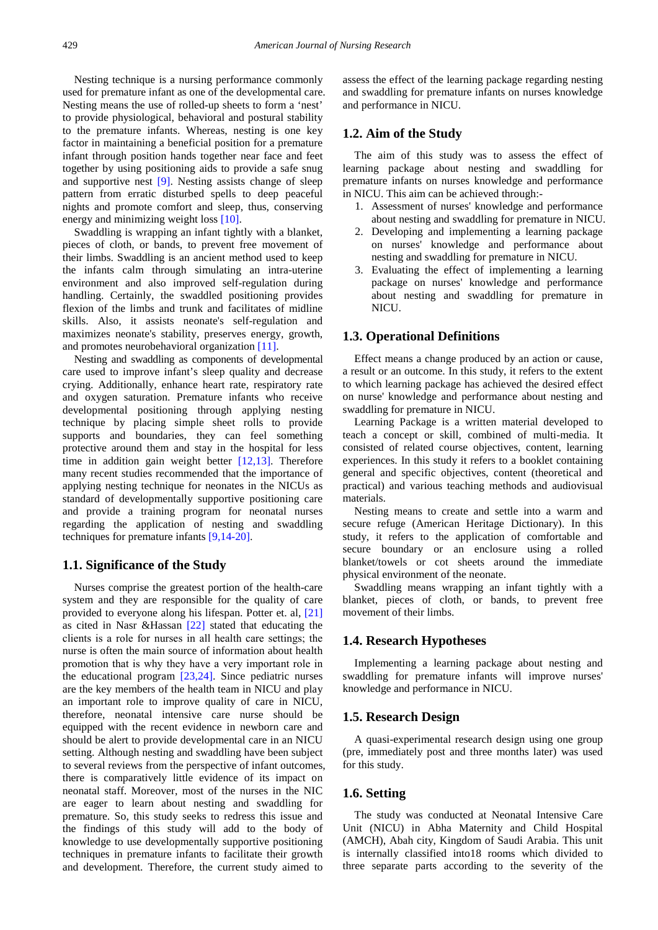Nesting technique is a nursing performance commonly used for premature infant as one of the developmental care. Nesting means the use of rolled-up sheets to form a 'nest' to provide physiological, behavioral and postural stability to the premature infants. Whereas, nesting is one key factor in maintaining a beneficial position for a premature infant through position hands together near face and feet together by using positioning aids to provide a safe snug and supportive nest [\[9\].](#page-7-6) Nesting assists change of sleep pattern from erratic disturbed spells to deep peaceful nights and promote comfort and sleep, thus, conserving energy and minimizing weight los[s \[10\].](#page-7-7)

Swaddling is wrapping an infant tightly with a blanket, pieces of cloth, or bands, to prevent free movement of their limbs. Swaddling is an ancient method used to keep the infants calm through simulating an intra-uterine environment and also improved self-regulation during handling. Certainly, the swaddled positioning provides flexion of the limbs and trunk and facilitates of midline skills. Also, it assists neonate's self-regulation and maximizes neonate's stability, preserves energy, growth, and promotes neurobehavioral organization [\[11\].](#page-7-8)

Nesting and swaddling as components of developmental care used to improve infant's sleep quality and decrease crying. Additionally, enhance heart rate, respiratory rate and oxygen saturation. Premature infants who receive developmental positioning through applying nesting technique by placing simple sheet rolls to provide supports and boundaries, they can feel something protective around them and stay in the hospital for less time in addition gain weight better  $[12,13]$ . Therefore many recent studies recommended that the importance of applying nesting technique for neonates in the NICUs as standard of developmentally supportive positioning care and provide a training program for neonatal nurses regarding the application of nesting and swaddling techniques for premature infants [\[9,14-20\].](#page-7-6)

#### **1.1. Significance of the Study**

Nurses comprise the greatest portion of the health-care system and they are responsible for the quality of care provided to everyone along his lifespan. Potter et. al, [\[21\]](#page-8-0) as cited in Nasr &Hassan [\[22\]](#page-8-1) stated that educating the clients is а role for nurses in all health care settings; the nurse is often the main source of information about health promotion that is why they have а very important role in the educational program [\[23,24\].](#page-8-2) Since pediatric nurses are the key members of the health team in NICU and play an important role to improve quality of care in NICU, therefore, neonatal intensive care nurse should be equipped with the recent evidence in newborn care and should be alert to provide developmental care in an NICU setting. Although nesting and swaddling have been subject to several reviews from the perspective of infant outcomes, there is comparatively little evidence of its impact on neonatal staff. Moreover, most of the nurses in the NIC are eager to learn about nesting and swaddling for premature. So, this study seeks to redress this issue and the findings of this study will add to the body of knowledge to use developmentally supportive positioning techniques in premature infants to facilitate their growth and development. Therefore, the current study aimed to

assess the effect of the learning package regarding nesting and swaddling for premature infants on nurses knowledge and performance in NICU.

#### **1.2. Aim of the Study**

The aim of this study was to assess the effect of learning package about nesting and swaddling for premature infants on nurses knowledge and performance in NICU. This aim can be achieved through:-

- 1. Assessment of nurses' knowledge and performance about nesting and swaddling for premature in NICU.
- 2. Developing and implementing a learning package on nurses' knowledge and performance about nesting and swaddling for premature in NICU.
- 3. Evaluating the effect of implementing a learning package on nurses' knowledge and performance about nesting and swaddling for premature in NICU.

#### **1.3. Operational Definitions**

Effect means a change produced by an action or cause, a result or an outcome. In this study, it refers to the extent to which learning package has achieved the desired effect on nurse' knowledge and performance about nesting and swaddling for premature in NICU.

Learning Package is a written material developed to teach a concept or skill, combined of multi-media. It consisted of related course objectives, content, learning experiences. In this study it refers to a booklet containing general and specific objectives, content (theoretical and practical) and various teaching methods and audiovisual materials.

Nesting means to create and settle into a warm and secure refuge (American Heritage Dictionary). In this study, it refers to the application of comfortable and secure boundary or an enclosure using a rolled blanket/towels or cot sheets around the immediate physical environment of the neonate.

Swaddling means wrapping an infant tightly with a blanket, pieces of cloth, or bands, to prevent free movement of their limbs.

#### **1.4. Research Hypotheses**

Implementing a learning package about nesting and swaddling for premature infants will improve nurses' knowledge and performance in NICU.

#### **1.5. Research Design**

A quasi-experimental research design using one group (pre, immediately post and three months later) was used for this study.

#### **1.6. Setting**

The study was conducted at Neonatal Intensive Care Unit (NICU) in Abha Maternity and Child Hospital (AMCH), Abah city, Kingdom of Saudi Arabia. This unit is internally classified into18 rooms which divided to three separate parts according to the severity of the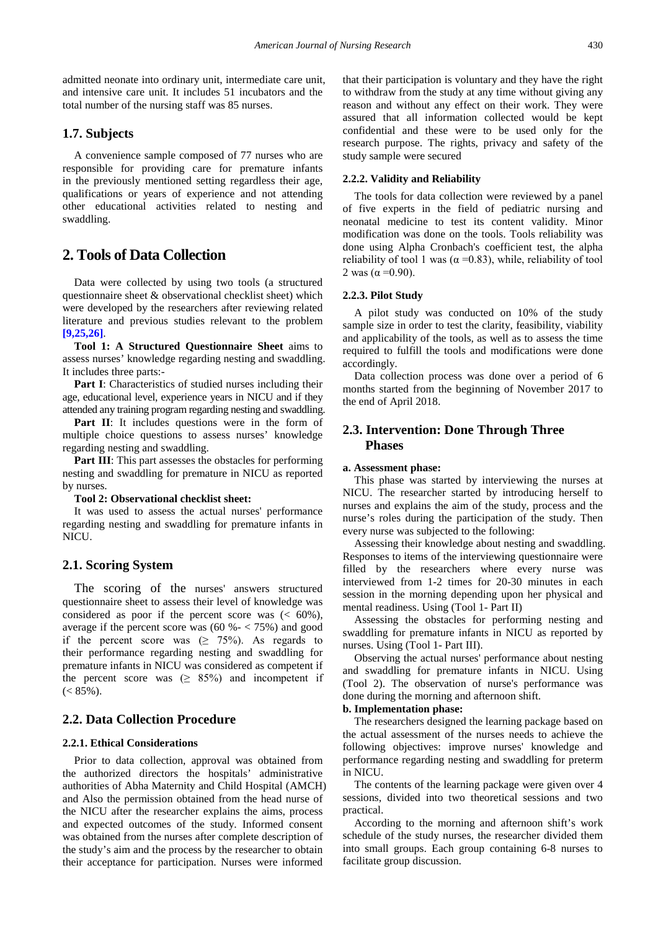admitted neonate into ordinary unit, intermediate care unit, and intensive care unit. It includes 51 incubators and the total number of the nursing staff was 85 nurses.

#### **1.7. Subjects**

A convenience sample composed of 77 nurses who are responsible for providing care for premature infants in the previously mentioned setting regardless their age, qualifications or years of experience and not attending other educational activities related to nesting and swaddling.

## **2. Tools of Data Collection**

Data were collected by using two tools (a structured questionnaire sheet & observational checklist sheet) which were developed by the researchers after reviewing related literature and previous studies relevant to the problem **[\[9,25,26\]](#page-7-6)**.

**Tool 1: A Structured Questionnaire Sheet** aims to assess nurses' knowledge regarding nesting and swaddling. It includes three parts:-

**Part I**: Characteristics of studied nurses including their age, educational level, experience years in NICU and if they attended any training program regarding nesting and swaddling.

Part II: It includes questions were in the form of multiple choice questions to assess nurses' knowledge regarding nesting and swaddling.

**Part III**: This part assesses the obstacles for performing nesting and swaddling for premature in NICU as reported by nurses.

#### **Tool 2: Observational checklist sheet:**

It was used to assess the actual nurses' performance regarding nesting and swaddling for premature infants in NICU.

#### **2.1. Scoring System**

The scoring of the nurses' answers structured questionnaire sheet to assess their level of knowledge was considered as poor if the percent score was  $( < 60\%)$ , average if the percent score was  $(60\% - < 75\%)$  and good if the percent score was  $(≥ 75%)$ . As regards to their performance regarding nesting and swaddling for premature infants in NICU was considered as competent if the percent score was  $(≥ 85%)$  and incompetent if  $(< 85\%$ ).

## **2.2. Data Collection Procedure**

#### **2.2.1. Ethical Considerations**

Prior to data collection, approval was obtained from the authorized directors the hospitals' administrative authorities of Abha Maternity and Child Hospital (AMCH) and Also the permission obtained from the head nurse of the NICU after the researcher explains the aims, process and expected outcomes of the study. Informed consent was obtained from the nurses after complete description of the study's aim and the process by the researcher to obtain their acceptance for participation. Nurses were informed

that their participation is voluntary and they have the right to withdraw from the study at any time without giving any reason and without any effect on their work. They were assured that all information collected would be kept confidential and these were to be used only for the research purpose. The rights, privacy and safety of the study sample were secured

#### **2.2.2. Validity and Reliability**

The tools for data collection were reviewed by a panel of five experts in the field of pediatric nursing and neonatal medicine to test its content validity. Minor modification was done on the tools. Tools reliability was done using Alpha Cronbach's coefficient test, the alpha reliability of tool 1 was ( $\alpha$  =0.83), while, reliability of tool 2 was ( $α = 0.90$ ).

#### **2.2.3. Pilot Study**

A pilot study was conducted on 10% of the study sample size in order to test the clarity, feasibility, viability and applicability of the tools, as well as to assess the time required to fulfill the tools and modifications were done accordingly.

Data collection process was done over a period of 6 months started from the beginning of November 2017 to the end of April 2018.

#### **2.3. Intervention: Done Through Three Phases**

#### **a. Assessment phase:**

This phase was started by interviewing the nurses at NICU. The researcher started by introducing herself to nurses and explains the aim of the study, process and the nurse's roles during the participation of the study. Then every nurse was subjected to the following:

Assessing their knowledge about nesting and swaddling. Responses to items of the interviewing questionnaire were filled by the researchers where every nurse was interviewed from 1-2 times for 20-30 minutes in each session in the morning depending upon her physical and mental readiness. Using (Tool 1- Part II)

Assessing the obstacles for performing nesting and swaddling for premature infants in NICU as reported by nurses. Using (Tool 1- Part III).

Observing the actual nurses' performance about nesting and swaddling for premature infants in NICU. Using (Tool 2). The observation of nurse's performance was done during the morning and afternoon shift.

#### **b. Implementation phase:**

The researchers designed the learning package based on the actual assessment of the nurses needs to achieve the following objectives: improve nurses' knowledge and performance regarding nesting and swaddling for preterm in NICU.

The contents of the learning package were given over 4 sessions, divided into two theoretical sessions and two practical.

According to the morning and afternoon shift's work schedule of the study nurses, the researcher divided them into small groups. Each group containing 6-8 nurses to facilitate group discussion.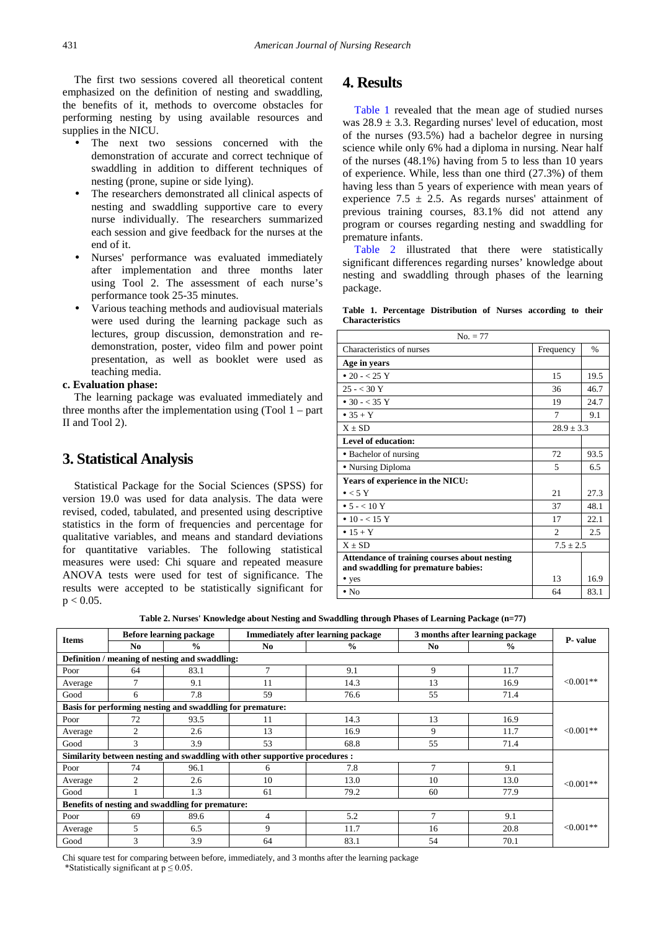The first two sessions covered all theoretical content emphasized on the definition of nesting and swaddling, the benefits of it, methods to overcome obstacles for performing nesting by using available resources and supplies in the NICU.

- The next two sessions concerned with the demonstration of accurate and correct technique of swaddling in addition to different techniques of nesting (prone, supine or side lying).
- The researchers demonstrated all clinical aspects of nesting and swaddling supportive care to every nurse individually. The researchers summarized each session and give feedback for the nurses at the end of it.
- Nurses' performance was evaluated immediately after implementation and three months later using Tool 2. The assessment of each nurse's performance took 25-35 minutes.
- Various teaching methods and audiovisual materials were used during the learning package such as lectures, group discussion, demonstration and redemonstration, poster, video film and power point presentation, as well as booklet were used as teaching media.

#### **c. Evaluation phase:**

The learning package was evaluated immediately and three months after the implementation using (Tool 1 – part II and Tool 2).

### **3. Statistical Analysis**

Statistical Package for the Social Sciences (SPSS) for version 19.0 was used for data analysis. The data were revised, coded, tabulated, and presented using descriptive statistics in the form of frequencies and percentage for qualitative variables, and means and standard deviations for quantitative variables. The following statistical measures were used: Chi square and repeated measure ANOVA tests were used for test of significance. The results were accepted to be statistically significant for  $p < 0.05$ .

## **4. Results**

[Table 1](#page-3-0) revealed that the mean age of studied nurses was  $28.9 \pm 3.3$ . Regarding nurses' level of education, most of the nurses (93.5%) had a bachelor degree in nursing science while only 6% had a diploma in nursing. Near half of the nurses (48.1%) having from 5 to less than 10 years of experience. While, less than one third (27.3%) of them having less than 5 years of experience with mean years of experience 7.5  $\pm$  2.5. As regards nurses' attainment of previous training courses, 83.1% did not attend any program or courses regarding nesting and swaddling for premature infants.

[Table 2](#page-3-1) illustrated that there were statistically significant differences regarding nurses' knowledge about nesting and swaddling through phases of the learning package.

**Table 1. Percentage Distribution of Nurses according to their Characteristics**

<span id="page-3-0"></span>

| $No. = 77$                                                                          |                |               |  |
|-------------------------------------------------------------------------------------|----------------|---------------|--|
| Characteristics of nurses                                                           | Frequency      | $\frac{0}{0}$ |  |
| Age in years                                                                        |                |               |  |
| • 20 – $< 25$ Y                                                                     | 15             | 19.5          |  |
| $25 - < 30$ Y                                                                       | 36             | 46.7          |  |
| • 30 - < 35 Y                                                                       | 19             | 24.7          |  |
| $\bullet$ 35 + Y                                                                    | 7              | 9.1           |  |
| $X + SD$                                                                            | $28.9 \pm 3.3$ |               |  |
| Level of education:                                                                 |                |               |  |
| • Bachelor of nursing                                                               | 72             | 93.5          |  |
| • Nursing Diploma                                                                   | 5              | 6.5           |  |
| Years of experience in the NICU:                                                    |                |               |  |
| $\bullet$ < 5 Y                                                                     | 21             | 27.3          |  |
| • $5 - < 10$ Y                                                                      | 37             | 48.1          |  |
| • 10 - < 15 Y                                                                       | 17             | 22.1          |  |
| $• 15 + Y$                                                                          | $\mathfrak{D}$ | 2.5           |  |
| $X + SD$                                                                            | $7.5 + 2.5$    |               |  |
| Attendance of training courses about nesting<br>and swaddling for premature babies: |                |               |  |
| • yes                                                                               | 13             | 16.9          |  |
| $\cdot$ No                                                                          | 64             | 83.1          |  |

**Table 2. Nurses' Knowledge about Nesting and Swaddling through Phases of Learning Package (n=77)**

<span id="page-3-1"></span>

| <b>Items</b>                                              |                | <b>Before learning package</b>                   |                                                                             | <b>Immediately after learning package</b> | 3 months after learning package |          |            |  |  |  |  |
|-----------------------------------------------------------|----------------|--------------------------------------------------|-----------------------------------------------------------------------------|-------------------------------------------|---------------------------------|----------|------------|--|--|--|--|
| $\frac{0}{0}$<br>No.                                      |                | No.                                              | $\frac{0}{0}$                                                               | No.                                       | $\frac{0}{0}$                   | P- value |            |  |  |  |  |
| Definition / meaning of nesting and swaddling:            |                |                                                  |                                                                             |                                           |                                 |          |            |  |  |  |  |
| Poor                                                      | 64             | 83.1                                             | $\tau$                                                                      | 9.1                                       | 9                               | 11.7     |            |  |  |  |  |
| Average                                                   | 7              | 9.1                                              | 11                                                                          | 14.3                                      | 13                              | 16.9     | $<0.001**$ |  |  |  |  |
| Good                                                      | 6              | 7.8                                              | 59                                                                          | 76.6                                      | 55                              | 71.4     |            |  |  |  |  |
| Basis for performing nesting and swaddling for premature: |                |                                                  |                                                                             |                                           |                                 |          |            |  |  |  |  |
| Poor                                                      | 72             | 93.5                                             | 11                                                                          | 14.3                                      | 13                              | 16.9     |            |  |  |  |  |
| Average                                                   | $\overline{c}$ | 2.6                                              | 13                                                                          | 16.9                                      | 9                               | 11.7     | $<0.001**$ |  |  |  |  |
| Good                                                      | 3              | 3.9                                              | 53                                                                          | 68.8                                      | 55                              | 71.4     |            |  |  |  |  |
|                                                           |                |                                                  | Similarity between nesting and swaddling with other supportive procedures : |                                           |                                 |          |            |  |  |  |  |
| Poor                                                      | 74             | 96.1                                             | 6                                                                           | 7.8                                       | $\tau$                          | 9.1      |            |  |  |  |  |
| Average                                                   | $\overline{c}$ | 2.6                                              | 10                                                                          | 13.0                                      | 10                              | 13.0     | $<0.001**$ |  |  |  |  |
| Good                                                      |                | 1.3                                              | 61                                                                          | 79.2                                      | 60                              | 77.9     |            |  |  |  |  |
|                                                           |                | Benefits of nesting and swaddling for premature: |                                                                             |                                           |                                 |          |            |  |  |  |  |
| Poor                                                      | 69             | 89.6                                             | 4                                                                           | 5.2                                       | $\tau$                          | 9.1      |            |  |  |  |  |
| Average                                                   | 5              | 6.5                                              | 9                                                                           | 11.7                                      | 16                              | 20.8     | $<0.001**$ |  |  |  |  |
| Good                                                      | 3              | 3.9                                              | 64                                                                          | 83.1                                      | 54                              | 70.1     |            |  |  |  |  |

Chi square test for comparing between before, immediately, and 3 months after the learning package \*Statistically significant at  $p \le 0.05$ .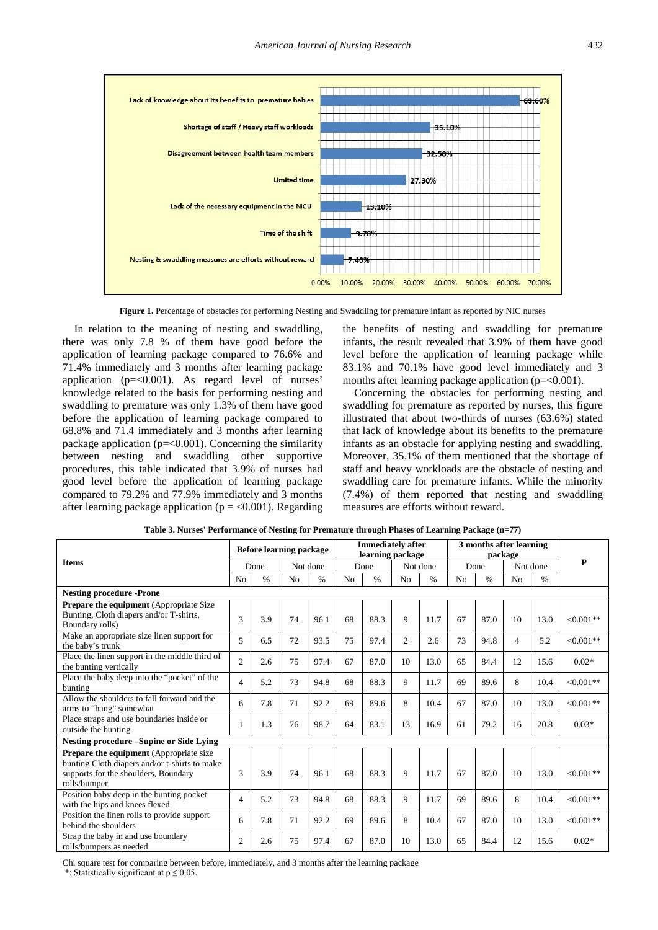

**Figure 1.** Percentage of obstacles for performing Nesting and Swaddling for premature infant as reported by NIC nurses

In relation to the meaning of nesting and swaddling, there was only 7.8 % of them have good before the application of learning package compared to 76.6% and 71.4% immediately and 3 months after learning package application ( $p = < 0.001$ ). As regard level of nurses' knowledge related to the basis for performing nesting and swaddling to premature was only 1.3% of them have good before the application of learning package compared to 68.8% and 71.4 immediately and 3 months after learning package application ( $p = 0.001$ ). Concerning the similarity between nesting and swaddling other supportive procedures, this table indicated that 3.9% of nurses had good level before the application of learning package compared to 79.2% and 77.9% immediately and 3 months after learning package application ( $p = < 0.001$ ). Regarding the benefits of nesting and swaddling for premature infants, the result revealed that 3.9% of them have good level before the application of learning package while 83.1% and 70.1% have good level immediately and 3 months after learning package application (p=<0.001).

Concerning the obstacles for performing nesting and swaddling for premature as reported by nurses, this figure illustrated that about two-thirds of nurses (63.6%) stated that lack of knowledge about its benefits to the premature infants as an obstacle for applying nesting and swaddling. Moreover, 35.1% of them mentioned that the shortage of staff and heavy workloads are the obstacle of nesting and swaddling care for premature infants. While the minority (7.4%) of them reported that nesting and swaddling measures are efforts without reward.

<span id="page-4-0"></span>

|                                                                                                                                                         |                | <b>Before learning package</b> |                |               |                | <b>Immediately after</b><br>learning package |                |      |      | 3 months after learning<br>package |                |               |             |
|---------------------------------------------------------------------------------------------------------------------------------------------------------|----------------|--------------------------------|----------------|---------------|----------------|----------------------------------------------|----------------|------|------|------------------------------------|----------------|---------------|-------------|
| <b>Items</b>                                                                                                                                            | Done           |                                | Not done       |               | Done           |                                              | Not done       |      | Done |                                    | Not done       |               | P           |
|                                                                                                                                                         | N <sub>0</sub> | $\frac{0}{0}$                  | N <sub>o</sub> | $\frac{0}{0}$ | N <sub>o</sub> | $\frac{0}{0}$                                | N <sub>o</sub> | $\%$ | No   | $\frac{0}{0}$                      | N <sub>o</sub> | $\frac{0}{0}$ |             |
| <b>Nesting procedure -Prone</b>                                                                                                                         |                |                                |                |               |                |                                              |                |      |      |                                    |                |               |             |
| <b>Prepare the equipment</b> (Appropriate Size)<br>Bunting, Cloth diapers and/or T-shirts,                                                              | 3              | 3.9                            | 74             | 96.1          | 68             | 88.3                                         | 9              | 11.7 | 67   | 87.0                               | 10             | 13.0          | $< 0.001**$ |
| Boundary rolls)<br>Make an appropriate size linen support for<br>the baby's trunk                                                                       | 5              | 6.5                            | 72             | 93.5          | 75             | 97.4                                         | 2              | 2.6  | 73   | 94.8                               | $\overline{4}$ | 5.2           | $< 0.001**$ |
| Place the linen support in the middle third of<br>the bunting vertically                                                                                | $\overline{c}$ | 2.6                            | 75             | 97.4          | 67             | 87.0                                         | 10             | 13.0 | 65   | 84.4                               | 12             | 15.6          | $0.02*$     |
| Place the baby deep into the "pocket" of the<br>bunting                                                                                                 | 4              | 5.2                            | 73             | 94.8          | 68             | 88.3                                         | 9              | 11.7 | 69   | 89.6                               | 8              | 10.4          | $< 0.001**$ |
| Allow the shoulders to fall forward and the<br>arms to "hang" somewhat                                                                                  | 6              | 7.8                            | 71             | 92.2          | 69             | 89.6                                         | 8              | 10.4 | 67   | 87.0                               | 10             | 13.0          | $< 0.001**$ |
| Place straps and use boundaries inside or<br>outside the bunting                                                                                        |                | 1.3                            | 76             | 98.7          | 64             | 83.1                                         | 13             | 16.9 | 61   | 79.2                               | 16             | 20.8          | $0.03*$     |
| <b>Nesting procedure –Supine or Side Lying</b>                                                                                                          |                |                                |                |               |                |                                              |                |      |      |                                    |                |               |             |
| <b>Prepare the equipment</b> (Appropriate size<br>bunting Cloth diapers and/or t-shirts to make<br>supports for the shoulders, Boundary<br>rolls/bumper | 3              | 3.9                            | 74             | 96.1          | 68             | 88.3                                         | 9              | 11.7 | 67   | 87.0                               | 10             | 13.0          | $<0.001**$  |
| Position baby deep in the bunting pocket<br>with the hips and knees flexed                                                                              | 4              | 5.2                            | 73             | 94.8          | 68             | 88.3                                         | 9              | 11.7 | 69   | 89.6                               | 8              | 10.4          | $< 0.001**$ |
| Position the linen rolls to provide support<br>behind the shoulders                                                                                     | 6              | 7.8                            | 71             | 92.2          | 69             | 89.6                                         | 8              | 10.4 | 67   | 87.0                               | 10             | 13.0          | $< 0.001**$ |
| Strap the baby in and use boundary<br>rolls/bumpers as needed                                                                                           | $\mathfrak{2}$ | 2.6                            | 75             | 97.4          | 67             | 87.0                                         | 10             | 13.0 | 65   | 84.4                               | 12             | 15.6          | $0.02*$     |

**Table 3. Nurses' Performance of Nesting for Premature through Phases of Learning Package (n=77)**

Chi square test for comparing between before, immediately, and 3 months after the learning package

\*: Statistically significant at  $p \le 0.05$ .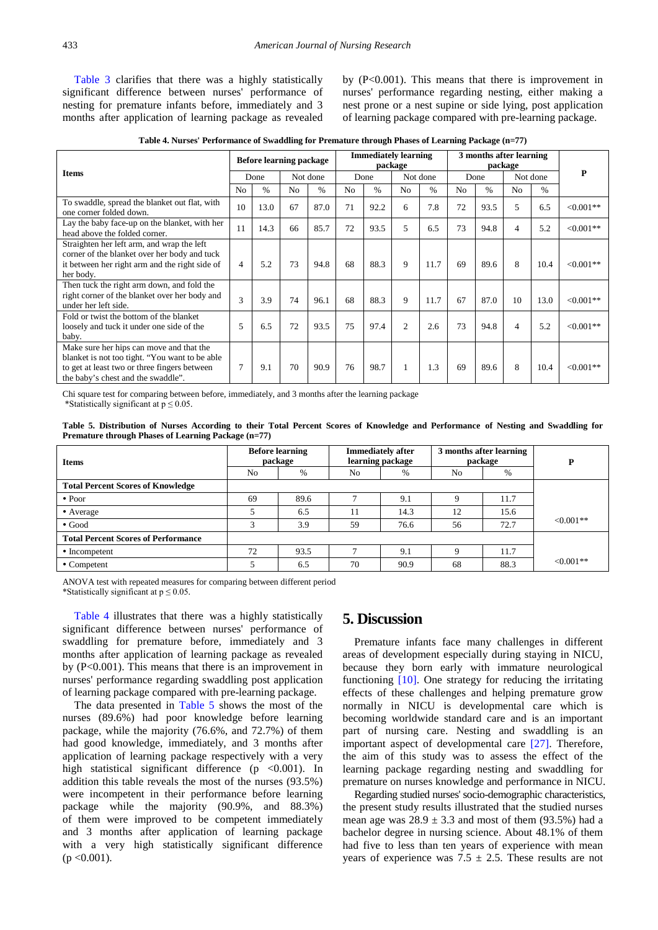[Table 3](#page-4-0) clarifies that there was a highly statistically significant difference between nurses' performance of nesting for premature infants before, immediately and 3 months after application of learning package as revealed by (P<0.001). This means that there is improvement in nurses' performance regarding nesting, either making a nest prone or a nest supine or side lying, post application of learning package compared with pre-learning package.

**Table 4. Nurses' Performance of Swaddling for Premature through Phases of Learning Package (n=77)**

<span id="page-5-0"></span>

| <b>Items</b>                                                                                                                                                                     |                | <b>Before learning package</b> |                |          |                | <b>Immediately learning</b><br>package |                |          |                | 3 months after learning<br>package |                |          |            |
|----------------------------------------------------------------------------------------------------------------------------------------------------------------------------------|----------------|--------------------------------|----------------|----------|----------------|----------------------------------------|----------------|----------|----------------|------------------------------------|----------------|----------|------------|
|                                                                                                                                                                                  |                | Done                           |                | Not done |                | Done                                   |                | Not done |                | Done                               |                | Not done | P          |
|                                                                                                                                                                                  | N <sub>o</sub> | $\frac{0}{0}$                  | N <sub>o</sub> | $\%$     | N <sub>o</sub> | $\frac{0}{0}$                          | N <sub>o</sub> | $\%$     | N <sub>0</sub> | $\frac{0}{0}$                      | N <sub>o</sub> | $\%$     |            |
| To swaddle, spread the blanket out flat, with<br>one corner folded down.                                                                                                         | 10             | 13.0                           | 67             | 87.0     | 71             | 92.2                                   | 6              | 7.8      | 72             | 93.5                               | 5              | 6.5      | $<0.001**$ |
| Lay the baby face-up on the blanket, with her<br>head above the folded corner.                                                                                                   | 11             | 14.3                           | 66             | 85.7     | 72             | 93.5                                   | 5              | 6.5      | 73             | 94.8                               | $\overline{4}$ | 5.2      | $<0.001**$ |
| Straighten her left arm, and wrap the left<br>corner of the blanket over her body and tuck<br>it between her right arm and the right side of<br>her body.                        | 4              | 5.2                            | 73             | 94.8     | 68             | 88.3                                   | 9              | 11.7     | 69             | 89.6                               | 8              | 10.4     | $<0.001**$ |
| Then tuck the right arm down, and fold the<br>right corner of the blanket over her body and<br>under her left side.                                                              | 3              | 3.9                            | 74             | 96.1     | 68             | 88.3                                   | 9              | 11.7     | 67             | 87.0                               | 10             | 13.0     | $<0.001**$ |
| Fold or twist the bottom of the blanket<br>loosely and tuck it under one side of the<br>baby.                                                                                    | 5              | 6.5                            | 72             | 93.5     | 75             | 97.4                                   | $\overline{c}$ | 2.6      | 73             | 94.8                               | $\overline{4}$ | 5.2      | $<0.001**$ |
| Make sure her hips can move and that the<br>blanket is not too tight. "You want to be able<br>to get at least two or three fingers between<br>the baby's chest and the swaddle". | $\tau$         | 9.1                            | 70             | 90.9     | 76             | 98.7                                   |                | 1.3      | 69             | 89.6                               | 8              | 10.4     | $<0.001**$ |

Chi square test for comparing between before, immediately, and 3 months after the learning package \*Statistically significant at  $p \le 0.05$ .

**Table 5. Distribution of Nurses According to their Total Percent Scores of Knowledge and Performance of Nesting and Swaddling for Premature through Phases of Learning Package (n=77)**

<span id="page-5-1"></span>

| <b>Items</b>                               |                | <b>Before learning</b><br>package |                | <b>Immediately after</b><br>learning package |                | 3 months after learning<br>package | Þ           |
|--------------------------------------------|----------------|-----------------------------------|----------------|----------------------------------------------|----------------|------------------------------------|-------------|
|                                            | N <sub>0</sub> | %                                 | N <sub>o</sub> | %                                            | N <sub>o</sub> | %                                  |             |
| <b>Total Percent Scores of Knowledge</b>   |                |                                   |                |                                              |                |                                    |             |
| $\bullet$ Poor                             | 69             | 89.6                              |                | 9.1                                          |                | 11.7                               |             |
| • Average                                  |                | 6.5                               | 11             | 14.3                                         | 12             | 15.6                               |             |
| $\bullet$ Good                             |                | 3.9                               | 59             | 76.6                                         | 56             | 72.7                               | $< 0.001**$ |
| <b>Total Percent Scores of Performance</b> |                |                                   |                |                                              |                |                                    |             |
| • Incompetent                              | 72             | 93.5                              | -              | 9.1                                          | a              | 11.7                               |             |
| $\bullet$ Competent                        |                | 6.5                               | 70             | 90.9                                         | 68             | 88.3                               | $< 0.001**$ |

ANOVA test with repeated measures for comparing between different period \*Statistically significant at  $p \le 0.05$ .

[Table 4](#page-5-0) illustrates that there was a highly statistically significant difference between nurses' performance of swaddling for premature before, immediately and 3 months after application of learning package as revealed by (P<0.001). This means that there is an improvement in nurses' performance regarding swaddling post application of learning package compared with pre-learning package.

The data presented in [Table 5](#page-5-1) shows the most of the nurses (89.6%) had poor knowledge before learning package, while the majority (76.6%, and 72.7%) of them had good knowledge, immediately, and 3 months after application of learning package respectively with a very high statistical significant difference ( $p \le 0.001$ ). In addition this table reveals the most of the nurses (93.5%) were incompetent in their performance before learning package while the majority (90.9%, and 88.3%) of them were improved to be competent immediately and 3 months after application of learning package with a very high statistically significant difference  $(p < 0.001)$ .

## **5. Discussion**

Premature infants face many challenges in different areas of development especially during staying in NICU, because they born early with immature neurological functioning [\[10\].](#page-7-7) One strategy for reducing the irritating effects of these challenges and helping premature grow normally in NICU is developmental care which is becoming worldwide standard care and is an important part of nursing care. Nesting and swaddling is an important aspect of developmental care [\[27\].](#page-8-3) Therefore, the aim of this study was to assess the effect of the learning package regarding nesting and swaddling for premature on nurses knowledge and performance in NICU.

Regarding studied nurses' socio-demographic characteristics, the present study results illustrated that the studied nurses mean age was  $28.9 \pm 3.3$  and most of them (93.5%) had a bachelor degree in nursing science. About 48.1% of them had five to less than ten years of experience with mean years of experience was  $7.5 \pm 2.5$ . These results are not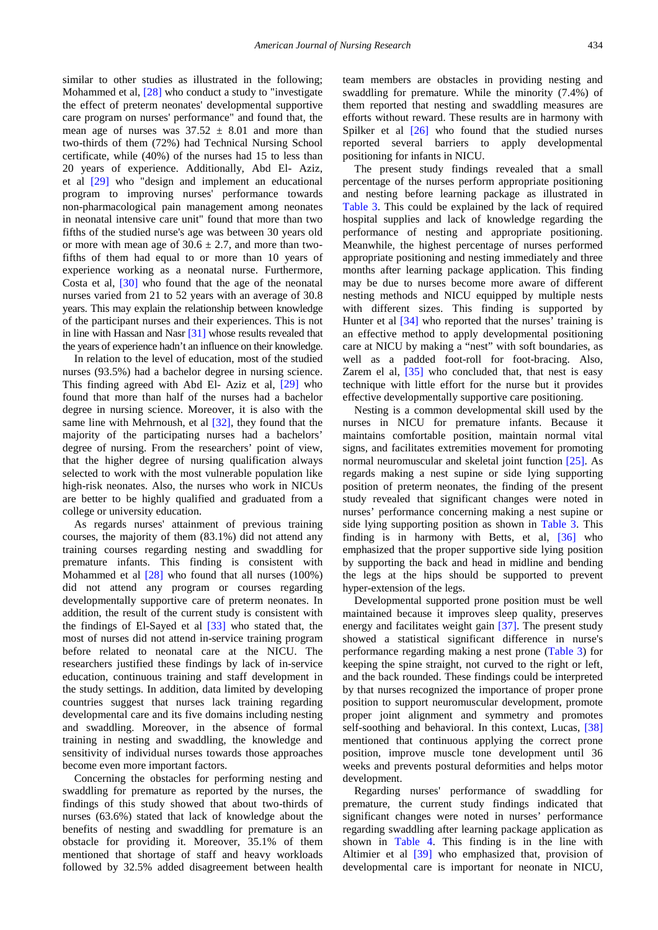similar to other studies as illustrated in the following; Mohammed et al, [\[28\]](#page-8-4) who conduct a study to "investigate the effect of preterm neonates' developmental supportive care program on nurses' performance" and found that, the mean age of nurses was  $37.52 \pm 8.01$  and more than two-thirds of them (72%) had Technical Nursing School certificate, while (40%) of the nurses had 15 to less than 20 years of experience. Additionally, Abd El- Aziz, et al [\[29\]](#page-8-5) who "design and implement an educational program to improving nurses' performance towards non-pharmacological pain management among neonates in neonatal intensive care unit" found that more than two fifths of the studied nurse's age was between 30 years old or more with mean age of  $30.6 \pm 2.7$ , and more than twofifths of them had equal to or more than 10 years of experience working as a neonatal nurse. Furthermore, Costa et al, [\[30\]](#page-8-6) who found that the age of the neonatal nurses varied from 21 to 52 years with an average of 30.8 years. This may explain the relationship between knowledge of the participant nurses and their experiences. This is not in line with Hassan and Nasr [\[31\]](#page-8-7) whose results revealed that the years of experience hadn't an influence on their knowledge.

In relation to the level of education, most of the studied nurses (93.5%) had a bachelor degree in nursing science. This finding agreed with Abd El- Aziz et al, [\[29\]](#page-8-5) who found that more than half of the nurses had a bachelor degree in nursing science. Moreover, it is also with the same line with Mehrnoush, et al [\[32\],](#page-8-8) they found that the majority of the participating nurses had a bachelors' degree of nursing. From the researchers' point of view, that the higher degree of nursing qualification always selected to work with the most vulnerable population like high-risk neonates. Also, the nurses who work in NICUs are better to be highly qualified and graduated from a college or university education.

As regards nurses' attainment of previous training courses, the majority of them (83.1%) did not attend any training courses regarding nesting and swaddling for premature infants. This finding is consistent with Mohammed et al [\[28\]](#page-8-4) who found that all nurses (100%) did not attend any program or courses regarding developmentally supportive care of preterm neonates. In addition, the result of the current study is consistent with the findings of El-Sayed et al [\[33\]](#page-8-9) who stated that, the most of nurses did not attend in-service training program before related to neonatal care at the NICU. The researchers justified these findings by lack of in-service education, continuous training and staff development in the study settings. In addition, data limited by developing countries suggest that nurses lack training regarding developmental care and its five domains including nesting and swaddling. Moreover, in the absence of formal training in nesting and swaddling, the knowledge and sensitivity of individual nurses towards those approaches become even more important factors.

Concerning the obstacles for performing nesting and swaddling for premature as reported by the nurses, the findings of this study showed that about two-thirds of nurses (63.6%) stated that lack of knowledge about the benefits of nesting and swaddling for premature is an obstacle for providing it. Moreover, 35.1% of them mentioned that shortage of staff and heavy workloads followed by 32.5% added disagreement between health team members are obstacles in providing nesting and swaddling for premature. While the minority (7.4%) of them reported that nesting and swaddling measures are efforts without reward. These results are in harmony with Spilker et al  $\left[26\right]$  who found that the studied nurses reported several barriers to apply developmental positioning for infants in NICU.

The present study findings revealed that a small percentage of the nurses perform appropriate positioning and nesting before learning package as illustrated in [Table 3.](#page-4-0) This could be explained by the lack of required hospital supplies and lack of knowledge regarding the performance of nesting and appropriate positioning. Meanwhile, the highest percentage of nurses performed appropriate positioning and nesting immediately and three months after learning package application. This finding may be due to nurses become more aware of different nesting methods and NICU equipped by multiple nests with different sizes. This finding is supported by Hunter et al [\[34\]](#page-8-11) who reported that the nurses' training is an effective method to apply developmental positioning care at NICU by making a "nest" with soft boundaries, as well as a padded foot-roll for foot-bracing. Also, Zarem el al, [\[35\]](#page-8-12) who concluded that, that nest is easy technique with little effort for the nurse but it provides effective developmentally supportive care positioning.

Nesting is a common developmental skill used by the nurses in NICU for premature infants. Because it maintains comfortable position, maintain normal vital signs, and facilitates extremities movement for promoting normal neuromuscular and skeletal joint function [\[25\].](#page-8-13) As regards making a nest supine or side lying supporting position of preterm neonates, the finding of the present study revealed that significant changes were noted in nurses' performance concerning making a nest supine or side lying supporting position as shown in [Table 3.](#page-4-0) This finding is in harmony with Betts, et al, [\[36\]](#page-8-14) who emphasized that the proper supportive side lying position by supporting the back and head in midline and bending the legs at the hips should be supported to prevent hyper-extension of the legs.

Developmental supported prone position must be well maintained because it improves sleep quality, preserves energy and facilitates weight gain [\[37\].](#page-8-15) The present study showed a statistical significant difference in nurse's performance regarding making a nest prone [\(Table 3\)](#page-4-0) for keeping the spine straight, not curved to the right or left, and the back rounded. These findings could be interpreted by that nurses recognized the importance of proper prone position to support neuromuscular development, promote proper joint alignment and symmetry and promotes self-soothing and behavioral. In this context, Lucas, [\[38\]](#page-8-16) mentioned that continuous applying the correct prone position, improve muscle tone development until 36 weeks and prevents postural deformities and helps motor development.

Regarding nurses' performance of swaddling for premature, the current study findings indicated that significant changes were noted in nurses' performance regarding swaddling after learning package application as shown in [Table 4.](#page-5-0) This finding is in the line with Altimier et al [\[39\]](#page-8-17) who emphasized that, provision of developmental care is important for neonate in NICU,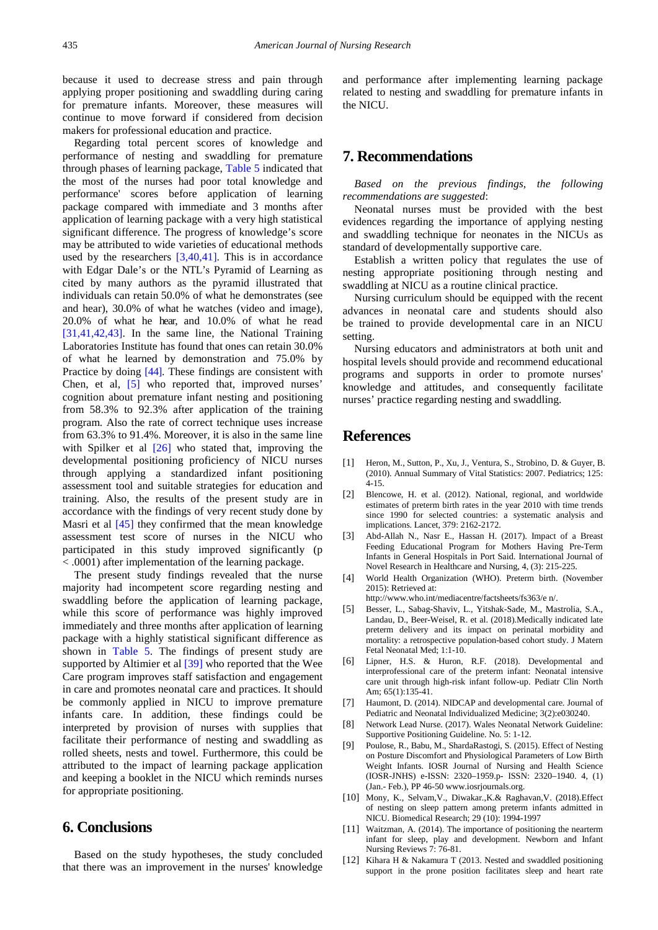because it used to decrease stress and pain through applying proper positioning and swaddling during caring for premature infants. Moreover, these measures will continue to move forward if considered from decision makers for professional education and practice.

Regarding total percent scores of knowledge and performance of nesting and swaddling for premature through phases of learning package, [Table 5](#page-5-1) indicated that the most of the nurses had poor total knowledge and performance' scores before application of learning package compared with immediate and 3 months after application of learning package with a very high statistical significant difference. The progress of knowledge's score may be attributed to wide varieties of educational methods used by the researchers  $[3,40,41]$ . This is in accordance with Edgar Dale's or the NTL's Pyramid of Learning as cited by many authors as the pyramid illustrated that individuals can retain 50.0% of what he demonstrates (see and hear), 30.0% of what he watches (video and image), 20.0% of what he hear, and 10.0% of what he read [\[31,41,42,43\].](#page-8-7) In the same line, the National Training Laboratories Institute has found that ones can retain 30.0% of what he learned by demonstration and 75.0% by Practice by doing [\[44\].](#page-8-18) These findings are consistent with Chen, et al, [\[5\]](#page-7-3) who reported that, improved nurses' cognition about premature infant nesting and positioning from 58.3% to 92.3% after application of the training program. Also the rate of correct technique uses increase from 63.3% to 91.4%. Moreover, it is also in the same line with Spilker et al  $[26]$  who stated that, improving the developmental positioning proficiency of NICU nurses through applying a standardized infant positioning assessment tool and suitable strategies for education and training. Also, the results of the present study are in accordance with the findings of very recent study done by Masri et al [\[45\]](#page-8-19) they confirmed that the mean knowledge assessment test score of nurses in the NICU who participated in this study improved significantly (p < .0001) after implementation of the learning package.

The present study findings revealed that the nurse majority had incompetent score regarding nesting and swaddling before the application of learning package, while this score of performance was highly improved immediately and three months after application of learning package with a highly statistical significant difference as shown in [Table 5.](#page-5-1) The findings of present study are supported by Altimier et al [\[39\]](#page-8-17) who reported that the Wee Care program improves staff satisfaction and engagement in care and promotes neonatal care and practices. It should be commonly applied in NICU to improve premature infants care. In addition, these findings could be interpreted by provision of nurses with supplies that facilitate their performance of nesting and swaddling as rolled sheets, nests and towel. Furthermore, this could be attributed to the impact of learning package application and keeping a booklet in the NICU which reminds nurses for appropriate positioning.

## **6. Conclusions**

Based on the study hypotheses, the study concluded that there was an improvement in the nurses' knowledge and performance after implementing learning package related to nesting and swaddling for premature infants in the NICU.

## **7. Recommendations**

*Based on the previous findings, the following recommendations are suggested*:

Neonatal nurses must be provided with the best evidences regarding the importance of applying nesting and swaddling technique for neonates in the NICUs as standard of developmentally supportive care.

Establish a written policy that regulates the use of nesting appropriate positioning through nesting and swaddling at NICU as a routine clinical practice.

Nursing curriculum should be equipped with the recent advances in neonatal care and students should also be trained to provide developmental care in an NICU setting.

Nursing educators and administrators at both unit and hospital levels should provide and recommend educational programs and supports in order to promote nurses' knowledge and attitudes, and consequently facilitate nurses' practice regarding nesting and swaddling.

## **References**

- <span id="page-7-0"></span>[1] Heron, M., Sutton, P., Xu, J., Ventura, S., Strobino, D. & Guyer, B. (2010). Annual Summary of Vital Statistics: 2007. Pediatrics; 125: 4-15.
- <span id="page-7-1"></span>[2] Blencowe, H. et al. (2012). National, regional, and worldwide estimates of preterm birth rates in the year 2010 with time trends since 1990 for selected countries: a systematic analysis and implications. Lancet, 379: 2162-2172.
- <span id="page-7-10"></span>[3] Abd-Allah N., Nasr E., Hassan H. (2017). Impact of a Breast Feeding Educational Program for Mothers Having Pre-Term Infants in General Hospitals in Port Said. International Journal of Novel Research in Healthcare and Nursing, 4, (3): 215-225.
- <span id="page-7-2"></span>[4] World Health Organization (WHO). Preterm birth. (November 2015): Retrieved at:

http://www.who.int/mediacentre/factsheets/fs363/e n/.

- <span id="page-7-3"></span>[5] Besser, L., Sabag-Shaviv, L., Yitshak-Sade, M., Mastrolia, S.A., Landau, D., Beer-Weisel, R. et al. (2018).Medically indicated late preterm delivery and its impact on perinatal morbidity and mortality: a retrospective population-based cohort study. J Matern Fetal Neonatal Med; 1:1-10.
- [6] Lipner, H.S. & Huron, R.F. (2018). Developmental and interprofessional care of the preterm infant: Neonatal intensive care unit through high-risk infant follow-up. Pediatr Clin North Am; 65(1):135-41.
- <span id="page-7-4"></span>[7] Haumont, D. (2014). NIDCAP and developmental care. Journal of Pediatric and Neonatal Individualized Medicine; 3(2):e030240.
- <span id="page-7-5"></span>[8] Network Lead Nurse. (2017). Wales Neonatal Network Guideline: Supportive Positioning Guideline. No. 5: 1-12.
- <span id="page-7-6"></span>[9] Poulose, R., Babu, M., ShardaRastogi, S. (2015). Effect of Nesting on Posture Discomfort and Physiological Parameters of Low Birth Weight Infants. IOSR Journal of Nursing and Health Science (IOSR-JNHS) e-ISSN: 2320–1959.p- ISSN: 2320–1940. 4, (1) (Jan.- Feb.), PP 46-50 www.iosrjournals.org.
- <span id="page-7-7"></span>[10] Mony, K., Selvam,V., Diwakar.,K.& Raghavan,V. (2018).Effect of nesting on sleep pattern among preterm infants admitted in NICU. Biomedical Research; 29 (10): 1994-1997
- <span id="page-7-8"></span>[11] Waitzman, A. (2014). The importance of positioning the nearterm infant for sleep, play and development. Newborn and Infant Nursing Reviews 7: 76-81.
- <span id="page-7-9"></span>[12] Kihara H & Nakamura T (2013. Nested and swaddled positioning support in the prone position facilitates sleep and heart rate